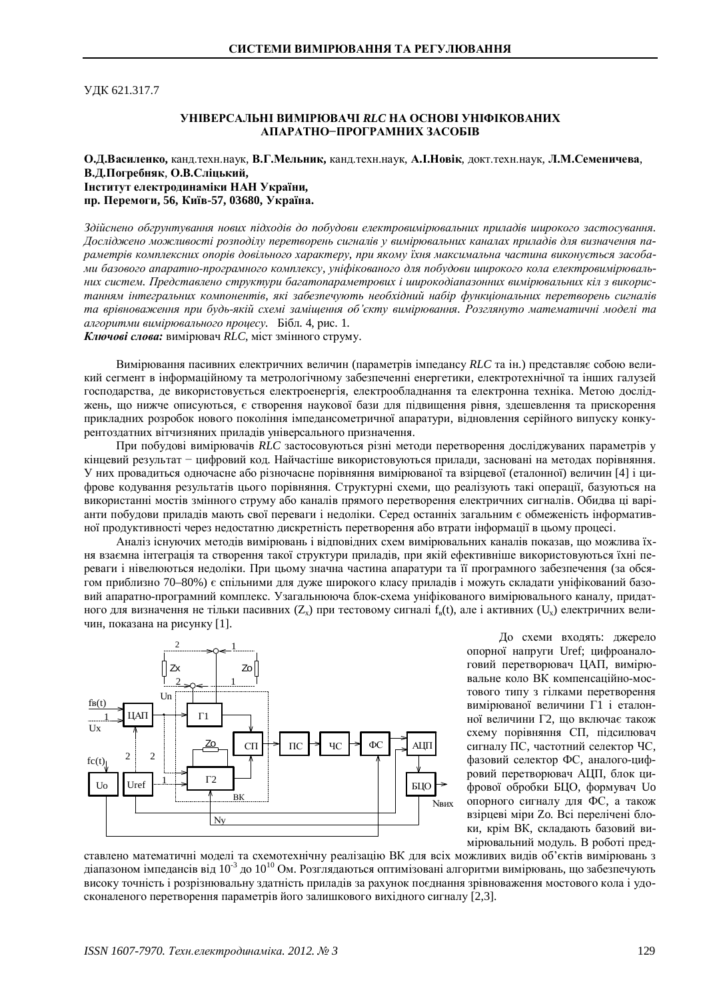УДК 621.317.7

## **ɍɇȱȼȿɊɋȺɅɖɇȱȼɂɆȱɊɘȼȺɑȱ** *RLC***ɇȺɈɋɇɈȼȱɍɇȱɎȱɄɈȼȺɇɂɏ** АПАРАТНО-ПРОГРАМНИХ ЗАСОБІВ

## О.Д.Василенко, канд.техн.наук, В.Г.Мельник, канд.техн.наук, А.І.Новік, докт.техн.наук, Л.М.Семеничева, В.Д.Погребняк, О.В.Сліцький,  **Інститут електродинаміки НАН України,** пр. Перемоги, 56, Київ-57, 03680, Україна.

 $3$ дійснено обгрунтування нових підходів до побудови електровимірювальних приладів широкого застосування. Досліджено можливості розподілу перетворень сигналів у вимірювальних каналах приладів для визначення параметрів комплексних опорів довільного характеру, при якому їхня максимальна частина виконується засобами базового апаратно-програмного комплексу, уніфікованого для побудови широкого кола електровимірювальних систем. Представлено структури багатопараметрових *і широкодіапазонних вимірювальних кіл* з використанням інтегральних компонентів, які забезпечують необхідний набір функціональних перетворень сигналів та врівноваження при будь-якій схемі замішення об'єкту вимірювання. Розглянуто математичні моделі та *алгоритми вимірювального процесу.* Бібл. 4, рис. 1.

Ключові слова: вимірювач RLC, міст змінного струму.

Вимірювання пасивних електричних величин (параметрів імпелансу RLC та ін.) прелставляє собою великий сегмент в інформаційному та метрологічному забезпеченні енергетики, електротехнічної та інших галузей господарства, де використовується електроенергія, електрообладнання та електронна техніка. Метою досліджень, що нижче описуються, є створення наукової бази для підвищення рівня, здешевлення та прискорення прикладних розробок нового покоління імпедансометричної апаратури, відновлення серійного випуску конкурентоздатних вітчизняних приладів універсального призначення.

При побудові вимірювачів RLC застосовуються різні методи перетворення досліджуваних параметрів у кінцевий результат - цифровий код. Найчастіше використовуються прилади, засновані на методах порівняння. У них провадиться одночасне або різночасне порівняння вимірюваної та взірцевої (еталонної) величин [4] і цифрове кодування результатів цього порівняння. Структурні схеми, що реалізують такі операції, базуються на використанні мостів змінного струму або каналів прямого перетворення електричних сигналів. Обидва ці варіанти побудови приладів мають свої переваги і недоліки. Серед останніх загальним є обмеженість інформативної продуктивності через недостатню дискретність перетворення або втрати інформації в цьому процесі.

Аналіз існуючих методів вимірювань і відповідних схем вимірювальних каналів показав, що можлива їхня взаємна інтеграція та створення такої структури приладів, при якій ефективніше використовуються їхні переваги і нівелюються недоліки. При цьому значна частина апаратури та її програмного забезпечення (за обсягом приблизно 70–80%) є спільними для дуже широкого класу приладів і можуть складати уніфікований базовий апаратно-програмний комплекс. Узагальнююча блок-схема уніфікованого вимірювального каналу, придатного для визначення не тільки пасивних  $(Z_x)$  при тестовому сигналі  $f_a(t)$ , але і активних  $(U_x)$  електричних величин, показана на рисунку [1].



До схеми входять: джерело опорної напруги Uref; цифроаналоговий перетворювач ЦАП, вимірювальне коло ВК компенсаційно-мостового типу з гілками перетворення вимірюваної величини Г1 і еталонної величини Г2, що включає також схему порівняння СП, підсилювач сигналу ПС, частотний селектор ЧС, фазовий селектор ФС, аналого-цифровий перетворювач АЦП, блок цифрової обробки БЦО, формувач Uo опорного сигналу для ФС, а також взірцеві міри Zo. Всі перелічені блоки, крім ВК, складають базовий вимірювальний модуль. В роботі пред-

ставлено математичні моделі та схемотехнічну реалізацію ВК для всіх можливих видів об'єктів вимірювань з діапазоном імпедансів від  $10^{-3}$  до  $10^{10}$  Ом. Розглядаються оптимізовані алгоритми вимірювань, що забезпечують високу точність і розрізнювальну здатність приладів за рахунок поєднання зрівноваження мостового кола і удосконаленого перетворення параметрів його залишкового вихідного сигналу [2,3].